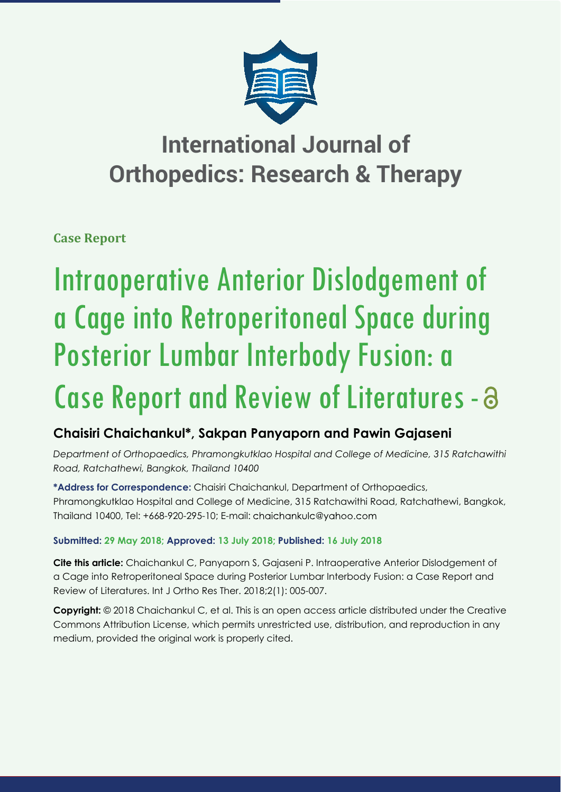

# **International Journal of Orthopedics: Research & Therapy**

**Case Report**

# Intraoperative Anterior Dislodgement of a Cage into Retroperitoneal Space during Posterior Lumbar Interbody Fusion: a Case Report and Review of Literatures -  $\partial$

## **Chaisiri Chaichankul\*, Sakpan Panyaporn and Pawin Gajaseni**

*Department of Orthopaedics, Phramongkutklao Hospital and College of Medicine, 315 Ratchawithi Road, Ratchathewi, Bangkok, Thailand 10400*

**\*Address for Correspondence:** Chaisiri Chaichankul, Department of Orthopaedics, Phramongkutklao Hospital and College of Medicine, 315 Ratchawithi Road, Ratchathewi, Bangkok, Thailand 10400, Tel: +668-920-295-10; E-mail:

### **Submitted: 29 May 2018; Approved: 13 July 2018; Published: 16 July 2018**

**Cite this article:** Chaichankul C, Panyaporn S, Gajaseni P. Intraoperative Anterior Dislodgement of a Cage into Retroperitoneal Space during Posterior Lumbar Interbody Fusion: a Case Report and Review of Literatures. Int J Ortho Res Ther. 2018;2(1): 005-007.

**Copyright:** © 2018 Chaichankul C, et al. This is an open access article distributed under the Creative Commons Attribution License, which permits unrestricted use, distribution, and reproduction in any medium, provided the original work is properly cited.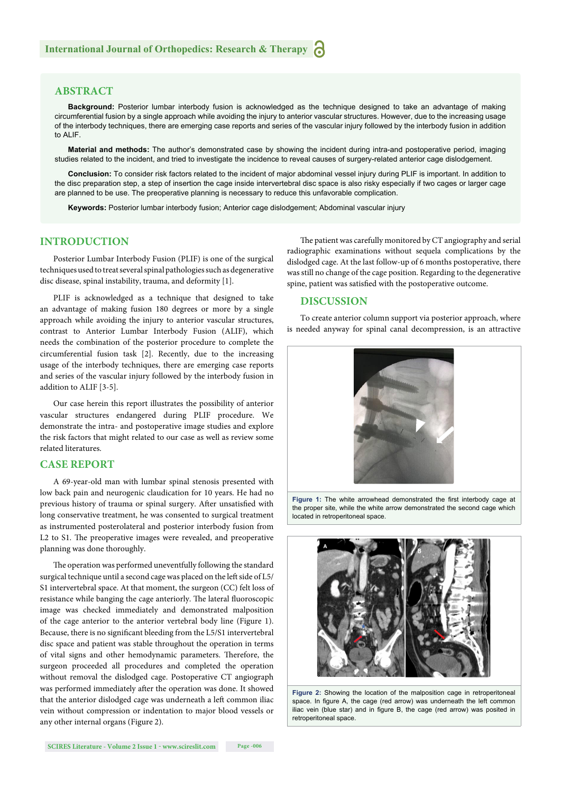#### **ABSTRACT**

**Background:** Posterior lumbar interbody fusion is acknowledged as the technique designed to take an advantage of making circumferential fusion by a single approach while avoiding the injury to anterior vascular structures. However, due to the increasing usage of the interbody techniques, there are emerging case reports and series of the vascular injury followed by the interbody fusion in addition to ALIF

**Material and methods:** The author's demonstrated case by showing the incident during intra-and postoperative period, imaging studies related to the incident, and tried to investigate the incidence to reveal causes of surgery-related anterior cage dislodgement.

**Conclusion:** To consider risk factors related to the incident of major abdominal vessel injury during PLIF is important. In addition to the disc preparation step, a step of insertion the cage inside intervertebral disc space is also risky especially if two cages or larger cage are planned to be use. The preoperative planning is necessary to reduce this unfavorable complication.

**Keywords:** Posterior lumbar interbody fusion; Anterior cage dislodgement; Abdominal vascular injury

#### **INTRODUCTION**

Posterior Lumbar Interbody Fusion (PLIF) is one of the surgical techniques used to treat several spinal pathologies such as degenerative disc disease, spinal instability, trauma, and deformity [1].

PLIF is acknowledged as a technique that designed to take an advantage of making fusion 180 degrees or more by a single approach while avoiding the injury to anterior vascular structures, contrast to Anterior Lumbar Interbody Fusion (ALIF), which needs the combination of the posterior procedure to complete the circumferential fusion task [2]. Recently, due to the increasing usage of the interbody techniques, there are emerging case reports and series of the vascular injury followed by the interbody fusion in addition to ALIF [3-5].

Our case herein this report illustrates the possibility of anterior vascular structures endangered during PLIF procedure. We demonstrate the intra- and postoperative image studies and explore the risk factors that might related to our case as well as review some related literatures.

#### **CASE REPORT**

A 69-year-old man with lumbar spinal stenosis presented with low back pain and neurogenic claudication for 10 years. He had no previous history of trauma or spinal surgery. After unsatisfied with long conservative treatment, he was consented to surgical treatment as instrumented posterolateral and posterior interbody fusion from L2 to S1. The preoperative images were revealed, and preoperative planning was done thoroughly.

The operation was performed uneventfully following the standard surgical technique until a second cage was placed on the left side of L5/ S1 intervertebral space. At that moment, the surgeon (CC) felt loss of resistance while banging the cage anteriorly. The lateral fluoroscopic image was checked immediately and demonstrated malposition of the cage anterior to the anterior vertebral body line (Figure 1). Because, there is no significant bleeding from the L5/S1 intervertebral disc space and patient was stable throughout the operation in terms of vital signs and other hemodynamic parameters. Therefore, the surgeon proceeded all procedures and completed the operation without removal the dislodged cage. Postoperative CT angiograph was performed immediately after the operation was done. It showed that the anterior dislodged cage was underneath a left common iliac vein without compression or indentation to major blood vessels or any other internal organs (Figure 2).

The patient was carefully monitored by CT angiography and serial radiographic examinations without sequela complications by the dislodged cage. At the last follow-up of 6 months postoperative, there was still no change of the cage position. Regarding to the degenerative spine, patient was satisfied with the postoperative outcome.

#### **DISCUSSION**

To create anterior column support via posterior approach, where is needed anyway for spinal canal decompression, is an attractive



Figure 1: The white arrowhead demonstrated the first interbody cage at the proper site, while the white arrow demonstrated the second cage which located in retroperitoneal space.